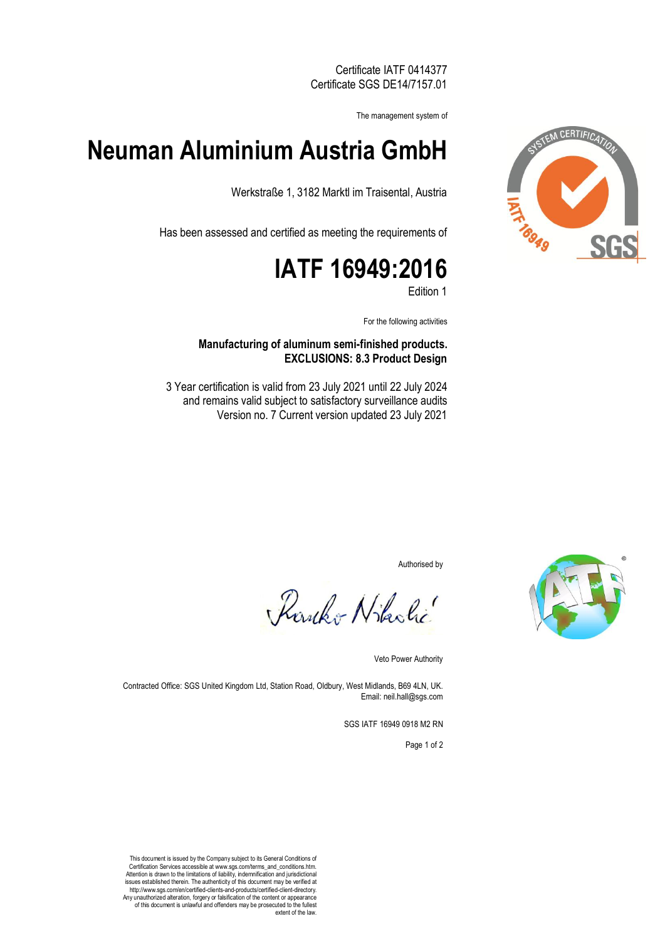Certificate IATF 0414377 Certificate SGS DE14/7157.01

The management system of

## **Neuman Aluminium Austria GmbH**

Werkstraße 1, 3182 Marktl im Traisental, Austria

Has been assessed and certified as meeting the requirements of

# **IATF 16949:2016**

Edition 1

For the following activities

#### **Manufacturing of aluminum semi-finished products. EXCLUSIONS: 8.3 Product Design**

3 Year certification is valid from 23 July 2021 until 22 July 2024 and remains valid subject to satisfactory surveillance audits Version no. 7 Current version updated 23 July 2021

Authorised by

Rowko Nikolic

Veto Power Authority

Contracted Office: SGS United Kingdom Ltd, Station Road, Oldbury, West Midlands, B69 4LN, UK. Email: neil.hall@sgs.com

SGS IATF 16949 0918 M2 RN

Page 1 of 2